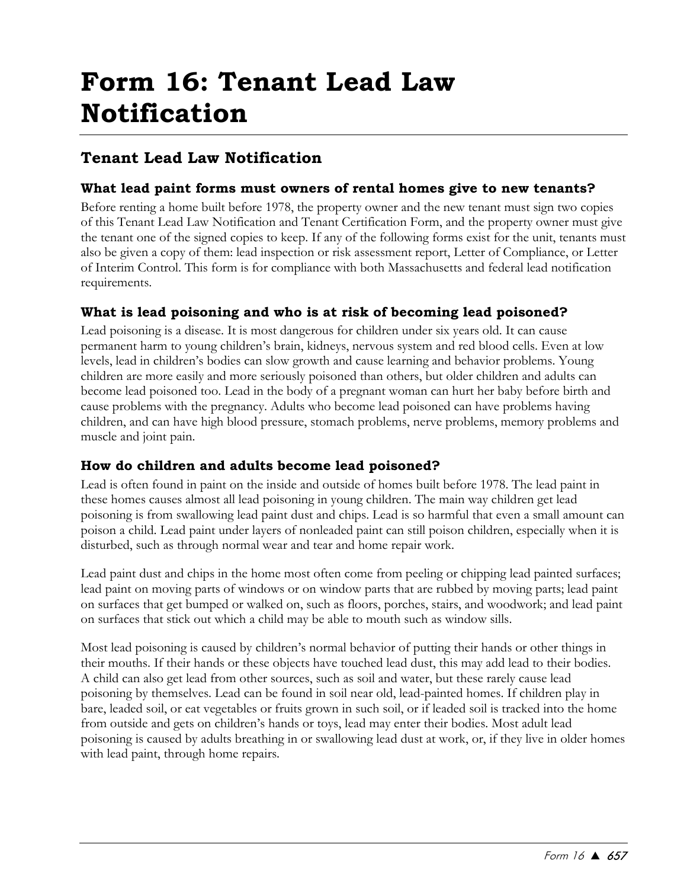# **Form 16: Tenant Lead Law Notification**

# **Tenant Lead Law Notification**

# **What lead paint forms must owners of rental homes give to new tenants?**

Before renting a home built before 1978, the property owner and the new tenant must sign two copies of this Tenant Lead Law Notification and Tenant Certification Form, and the property owner must give the tenant one of the signed copies to keep. If any of the following forms exist for the unit, tenants must also be given a copy of them: lead inspection or risk assessment report, Letter of Compliance, or Letter of Interim Control. This form is for compliance with both Massachusetts and federal lead notification requirements.

# **What is lead poisoning and who is at risk of becoming lead poisoned?**

Lead poisoning is a disease. It is most dangerous for children under six years old. It can cause permanent harm to young children's brain, kidneys, nervous system and red blood cells. Even at low levels, lead in children's bodies can slow growth and cause learning and behavior problems. Young children are more easily and more seriously poisoned than others, but older children and adults can become lead poisoned too. Lead in the body of a pregnant woman can hurt her baby before birth and cause problems with the pregnancy. Adults who become lead poisoned can have problems having children, and can have high blood pressure, stomach problems, nerve problems, memory problems and muscle and joint pain.

# **How do children and adults become lead poisoned?**

Lead is often found in paint on the inside and outside of homes built before 1978. The lead paint in these homes causes almost all lead poisoning in young children. The main way children get lead poisoning is from swallowing lead paint dust and chips. Lead is so harmful that even a small amount can poison a child. Lead paint under layers of nonleaded paint can still poison children, especially when it is disturbed, such as through normal wear and tear and home repair work.

Lead paint dust and chips in the home most often come from peeling or chipping lead painted surfaces; lead paint on moving parts of windows or on window parts that are rubbed by moving parts; lead paint on surfaces that get bumped or walked on, such as floors, porches, stairs, and woodwork; and lead paint on surfaces that stick out which a child may be able to mouth such as window sills.

Most lead poisoning is caused by children's normal behavior of putting their hands or other things in their mouths. If their hands or these objects have touched lead dust, this may add lead to their bodies. A child can also get lead from other sources, such as soil and water, but these rarely cause lead poisoning by themselves. Lead can be found in soil near old, lead-painted homes. If children play in bare, leaded soil, or eat vegetables or fruits grown in such soil, or if leaded soil is tracked into the home from outside and gets on children's hands or toys, lead may enter their bodies. Most adult lead poisoning is caused by adults breathing in or swallowing lead dust at work, or, if they live in older homes with lead paint, through home repairs.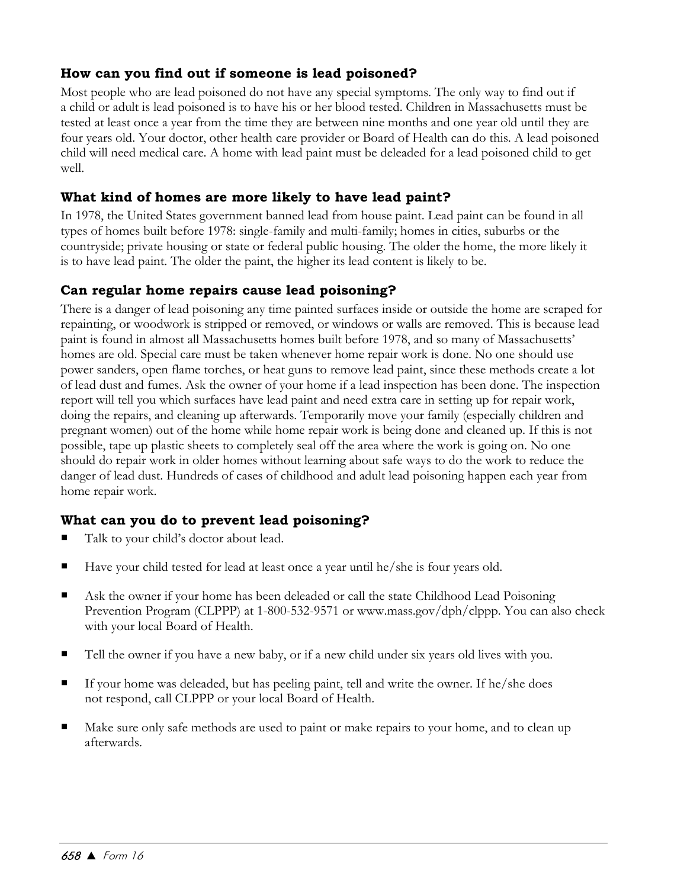# **How can you find out if someone is lead poisoned?**

Most people who are lead poisoned do not have any special symptoms. The only way to find out if a child or adult is lead poisoned is to have his or her blood tested. Children in Massachusetts must be tested at least once a year from the time they are between nine months and one year old until they are four years old. Your doctor, other health care provider or Board of Health can do this. A lead poisoned child will need medical care. A home with lead paint must be deleaded for a lead poisoned child to get well.

## **What kind of homes are more likely to have lead paint?**

In 1978, the United States government banned lead from house paint. Lead paint can be found in all types of homes built before 1978: single-family and multi-family; homes in cities, suburbs or the countryside; private housing or state or federal public housing. The older the home, the more likely it is to have lead paint. The older the paint, the higher its lead content is likely to be.

#### **Can regular home repairs cause lead poisoning?**

There is a danger of lead poisoning any time painted surfaces inside or outside the home are scraped for repainting, or woodwork is stripped or removed, or windows or walls are removed. This is because lead paint is found in almost all Massachusetts homes built before 1978, and so many of Massachusetts' homes are old. Special care must be taken whenever home repair work is done. No one should use power sanders, open flame torches, or heat guns to remove lead paint, since these methods create a lot of lead dust and fumes. Ask the owner of your home if a lead inspection has been done. The inspection report will tell you which surfaces have lead paint and need extra care in setting up for repair work, doing the repairs, and cleaning up afterwards. Temporarily move your family (especially children and pregnant women) out of the home while home repair work is being done and cleaned up. If this is not possible, tape up plastic sheets to completely seal off the area where the work is going on. No one should do repair work in older homes without learning about safe ways to do the work to reduce the danger of lead dust. Hundreds of cases of childhood and adult lead poisoning happen each year from home repair work.

#### **What can you do to prevent lead poisoning?**

- Talk to your child's doctor about lead.
- Have your child tested for lead at least once a year until he/she is four years old.
- Ask the owner if your home has been deleaded or call the state Childhood Lead Poisoning Prevention Program (CLPPP) at 1-800-532-9571 or www.mass.gov/dph/clppp. You can also check with your local Board of Health.
- Tell the owner if you have a new baby, or if a new child under six years old lives with you.
- If your home was deleaded, but has peeling paint, tell and write the owner. If he/she does not respond, call CLPPP or your local Board of Health.
- Make sure only safe methods are used to paint or make repairs to your home, and to clean up afterwards.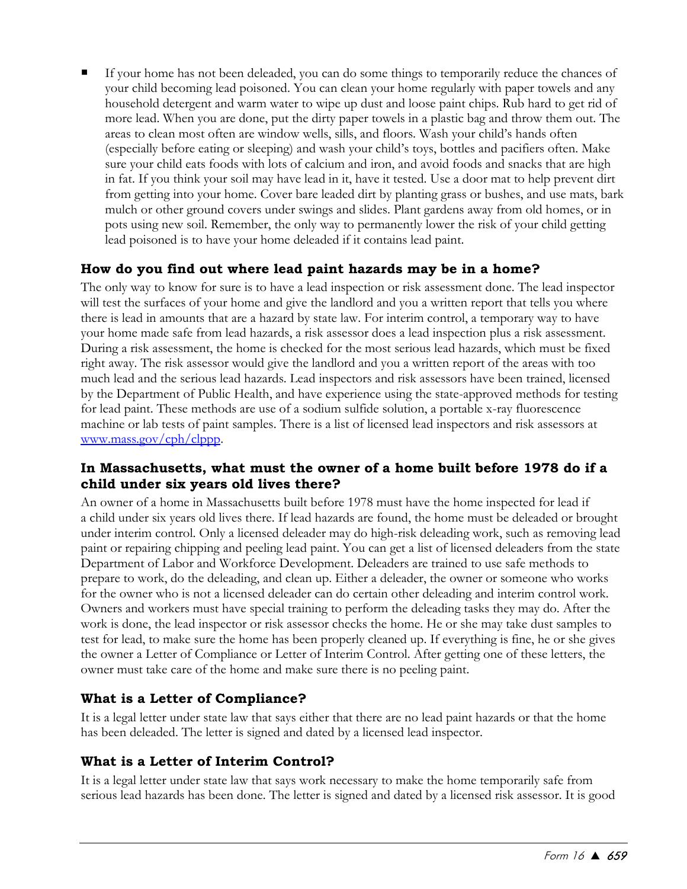If your home has not been deleaded, you can do some things to temporarily reduce the chances of your child becoming lead poisoned. You can clean your home regularly with paper towels and any household detergent and warm water to wipe up dust and loose paint chips. Rub hard to get rid of more lead. When you are done, put the dirty paper towels in a plastic bag and throw them out. The areas to clean most often are window wells, sills, and floors. Wash your child's hands often (especially before eating or sleeping) and wash your child's toys, bottles and pacifiers often. Make sure your child eats foods with lots of calcium and iron, and avoid foods and snacks that are high in fat. If you think your soil may have lead in it, have it tested. Use a door mat to help prevent dirt from getting into your home. Cover bare leaded dirt by planting grass or bushes, and use mats, bark mulch or other ground covers under swings and slides. Plant gardens away from old homes, or in pots using new soil. Remember, the only way to permanently lower the risk of your child getting lead poisoned is to have your home deleaded if it contains lead paint.

# **How do you find out where lead paint hazards may be in a home?**

The only way to know for sure is to have a lead inspection or risk assessment done. The lead inspector will test the surfaces of your home and give the landlord and you a written report that tells you where there is lead in amounts that are a hazard by state law. For interim control, a temporary way to have your home made safe from lead hazards, a risk assessor does a lead inspection plus a risk assessment. During a risk assessment, the home is checked for the most serious lead hazards, which must be fixed right away. The risk assessor would give the landlord and you a written report of the areas with too much lead and the serious lead hazards. Lead inspectors and risk assessors have been trained, licensed by the Department of Public Health, and have experience using the state-approved methods for testing for lead paint. These methods are use of a sodium sulfide solution, a portable x-ray fluorescence machine or lab tests of paint samples. There is a list of licensed lead inspectors and risk assessors at [www.mass.gov/cph/clppp.](file:///E:/MLRI/Chapters%20and%20Forms%2003-27/Forms/www.mass.gov/cph/clppp)

# **In Massachusetts, what must the owner of a home built before 1978 do if a child under six years old lives there?**

An owner of a home in Massachusetts built before 1978 must have the home inspected for lead if a child under six years old lives there. If lead hazards are found, the home must be deleaded or brought under interim control. Only a licensed deleader may do high-risk deleading work, such as removing lead paint or repairing chipping and peeling lead paint. You can get a list of licensed deleaders from the state Department of Labor and Workforce Development. Deleaders are trained to use safe methods to prepare to work, do the deleading, and clean up. Either a deleader, the owner or someone who works for the owner who is not a licensed deleader can do certain other deleading and interim control work. Owners and workers must have special training to perform the deleading tasks they may do. After the work is done, the lead inspector or risk assessor checks the home. He or she may take dust samples to test for lead, to make sure the home has been properly cleaned up. If everything is fine, he or she gives the owner a Letter of Compliance or Letter of Interim Control. After getting one of these letters, the owner must take care of the home and make sure there is no peeling paint.

# **What is a Letter of Compliance?**

It is a legal letter under state law that says either that there are no lead paint hazards or that the home has been deleaded. The letter is signed and dated by a licensed lead inspector.

# **What is a Letter of Interim Control?**

It is a legal letter under state law that says work necessary to make the home temporarily safe from serious lead hazards has been done. The letter is signed and dated by a licensed risk assessor. It is good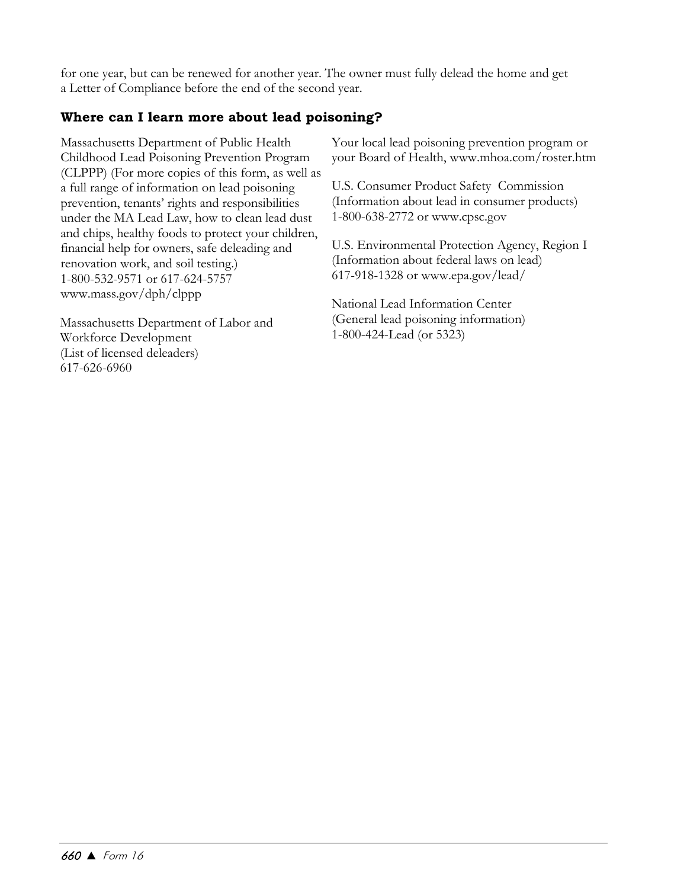for one year, but can be renewed for another year. The owner must fully delead the home and get a Letter of Compliance before the end of the second year.

# **Where can I learn more about lead poisoning?**

Massachusetts Department of Public Health Childhood Lead Poisoning Prevention Program (CLPPP) (For more copies of this form, as well as a full range of information on lead poisoning prevention, tenants' rights and responsibilities under the MA Lead Law, how to clean lead dust and chips, healthy foods to protect your children, financial help for owners, safe deleading and renovation work, and soil testing.) 1-800-532-9571 or 617-624-5757 www.mass.gov/dph/clppp

Massachusetts Department of Labor and Workforce Development (List of licensed deleaders) 617-626-6960

Your local lead poisoning prevention program or your Board of Health, www.mhoa.com/roster.htm

U.S. Consumer Product Safety Commission (Information about lead in consumer products) 1-800-638-2772 or www.cpsc.gov

U.S. Environmental Protection Agency, Region I (Information about federal laws on lead) 617-918-1328 or www.epa.gov/lead/

National Lead Information Center (General lead poisoning information) 1-800-424-Lead (or 5323)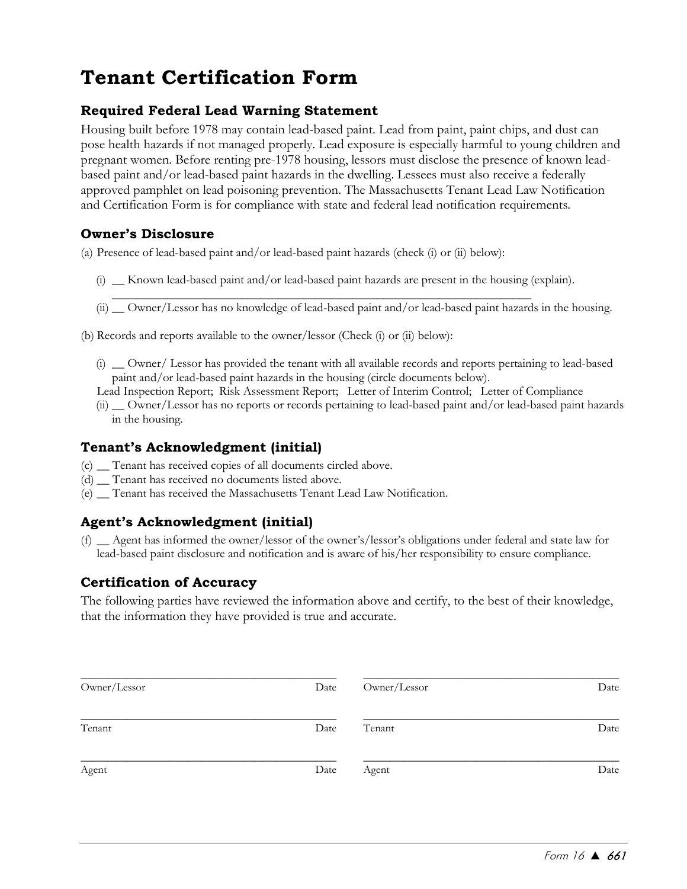# **Tenant Certification Form**

# **Required Federal Lead Warning Statement**

Housing built before 1978 may contain lead-based paint. Lead from paint, paint chips, and dust can pose health hazards if not managed properly. Lead exposure is especially harmful to young children and pregnant women. Before renting pre-1978 housing, lessors must disclose the presence of known leadbased paint and/or lead-based paint hazards in the dwelling. Lessees must also receive a federally approved pamphlet on lead poisoning prevention. The Massachusetts Tenant Lead Law Notification and Certification Form is for compliance with state and federal lead notification requirements.

# **Owner's Disclosure**

(a) Presence of lead-based paint and/or lead-based paint hazards (check (i) or (ii) below):

- (i) \_\_ Known lead-based paint and/or lead-based paint hazards are present in the housing (explain).
- \_\_\_\_\_\_\_\_\_\_\_\_\_\_\_\_\_\_\_\_\_\_\_\_\_\_\_\_\_\_\_\_\_\_\_\_\_\_\_\_\_\_\_\_\_\_\_\_\_\_\_\_\_\_\_\_\_\_\_\_\_\_\_\_\_\_\_\_ (ii) \_\_ Owner/Lessor has no knowledge of lead-based paint and/or lead-based paint hazards in the housing.
- (b) Records and reports available to the owner/lessor (Check (i) or (ii) below):
	- (i) \_\_ Owner/ Lessor has provided the tenant with all available records and reports pertaining to lead-based paint and/or lead-based paint hazards in the housing (circle documents below).
	- Lead Inspection Report; Risk Assessment Report; Letter of Interim Control; Letter of Compliance
	- (ii) \_\_ Owner/Lessor has no reports or records pertaining to lead-based paint and/or lead-based paint hazards in the housing.

## **Tenant's Acknowledgment (initial)**

- (c) \_\_ Tenant has received copies of all documents circled above.
- (d) \_\_ Tenant has received no documents listed above.
- (e) \_\_ Tenant has received the Massachusetts Tenant Lead Law Notification.

# **Agent's Acknowledgment (initial)**

(f) \_\_ Agent has informed the owner/lessor of the owner's/lessor's obligations under federal and state law for lead-based paint disclosure and notification and is aware of his/her responsibility to ensure compliance.

# **Certification of Accuracy**

The following parties have reviewed the information above and certify, to the best of their knowledge, that the information they have provided is true and accurate.

| Owner/Lessor | Date | Owner/Lessor | Date |
|--------------|------|--------------|------|
| Tenant       | Date | Tenant       | Date |
| Agent        | Date | Agent        | Date |